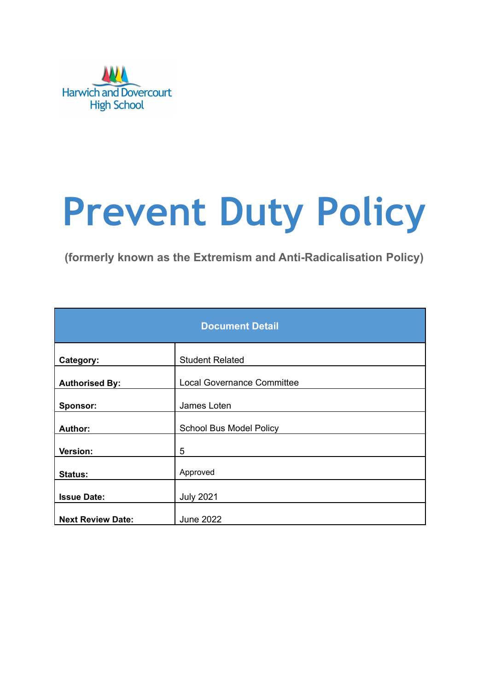

# **Prevent Duty Policy**

**(formerly known as the Extremism and Anti-Radicalisation Policy)**

| <b>Document Detail</b>   |                                   |  |  |  |
|--------------------------|-----------------------------------|--|--|--|
| Category:                | <b>Student Related</b>            |  |  |  |
| <b>Authorised By:</b>    | <b>Local Governance Committee</b> |  |  |  |
| Sponsor:                 | James Loten                       |  |  |  |
| <b>Author:</b>           | <b>School Bus Model Policy</b>    |  |  |  |
| <b>Version:</b>          | 5                                 |  |  |  |
| Status:                  | Approved                          |  |  |  |
| <b>Issue Date:</b>       | <b>July 2021</b>                  |  |  |  |
| <b>Next Review Date:</b> | <b>June 2022</b>                  |  |  |  |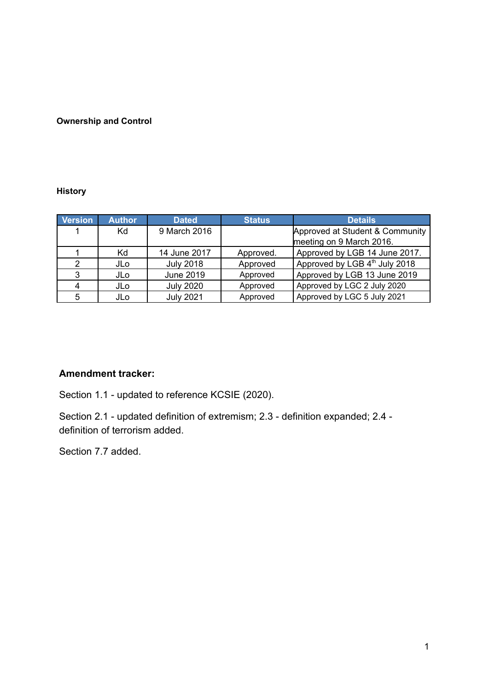#### **Ownership and Control**

#### **History**

| <b>Version</b> | <b>Author</b>   | <b>Dated</b>     | <b>Status</b> | <b>Details</b>                  |
|----------------|-----------------|------------------|---------------|---------------------------------|
|                | Kd              | 9 March 2016     |               | Approved at Student & Community |
|                |                 |                  |               | meeting on 9 March 2016.        |
|                | Kd              | 14 June 2017     | Approved.     | Approved by LGB 14 June 2017.   |
| 2              | JL <sub>0</sub> | <b>July 2018</b> | Approved      | Approved by LGB 4th July 2018   |
| 3              | <b>JLo</b>      | <b>June 2019</b> | Approved      | Approved by LGB 13 June 2019    |
|                | JL <sub>0</sub> | <b>July 2020</b> | Approved      | Approved by LGC 2 July 2020     |
| 5              | JLo             | <b>July 2021</b> | Approved      | Approved by LGC 5 July 2021     |

#### **Amendment tracker:**

Section 1.1 - updated to reference KCSIE (2020).

Section 2.1 - updated definition of extremism; 2.3 - definition expanded; 2.4 definition of terrorism added.

Section 7.7 added.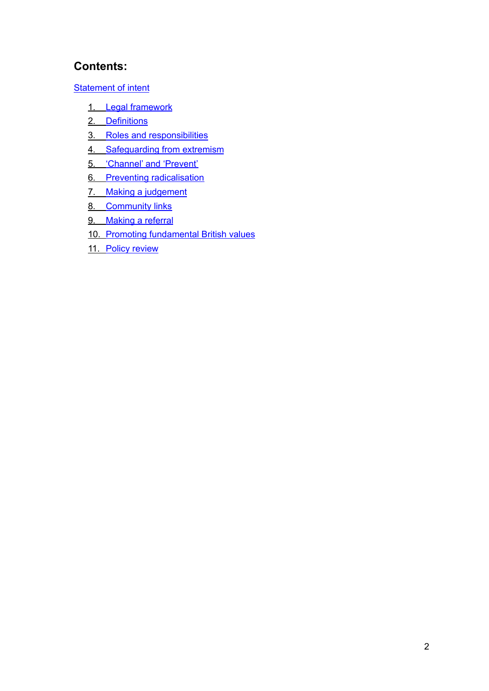# **Contents:**

[Statement](#page-3-0) of intent

- 1. Legal [framework](#page-4-0)
- 2. [Definitions](#page-4-1)
- 3. Roles and [responsibilities](#page-4-2)
- 4. [Safeguarding](#page-5-0) from extremism
- 5. ['Channel'](#page-6-0) and 'Prevent'
- 6. Preventing [radicalisation](#page-6-1)
- 7. Making a [judgement](#page-7-0)
- 8. [Community](#page-9-0) links
- 9. [Making](#page-10-0) a referral
- 10. Promoting [fundamental](#page-10-1) British values
- 11. Policy [review](#page-11-0)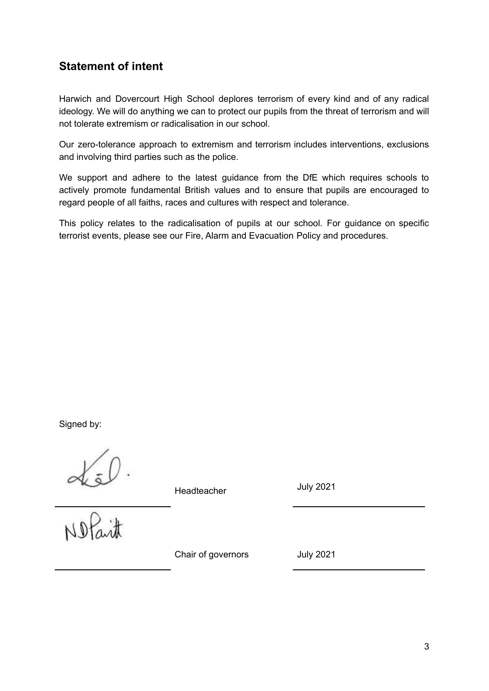# <span id="page-3-0"></span>**Statement of intent**

Harwich and Dovercourt High School deplores terrorism of every kind and of any radical ideology. We will do anything we can to protect our pupils from the threat of terrorism and will not tolerate extremism or radicalisation in our school.

Our zero-tolerance approach to extremism and terrorism includes interventions, exclusions and involving third parties such as the police.

We support and adhere to the latest guidance from the DfE which requires schools to actively promote fundamental British values and to ensure that pupils are encouraged to regard people of all faiths, races and cultures with respect and tolerance.

This policy relates to the radicalisation of pupils at our school. For guidance on specific terrorist events, please see our Fire, Alarm and Evacuation Policy and procedures.

Signed by:

 $det$ 

Headteacher

July 2021

Chair of governors July 2021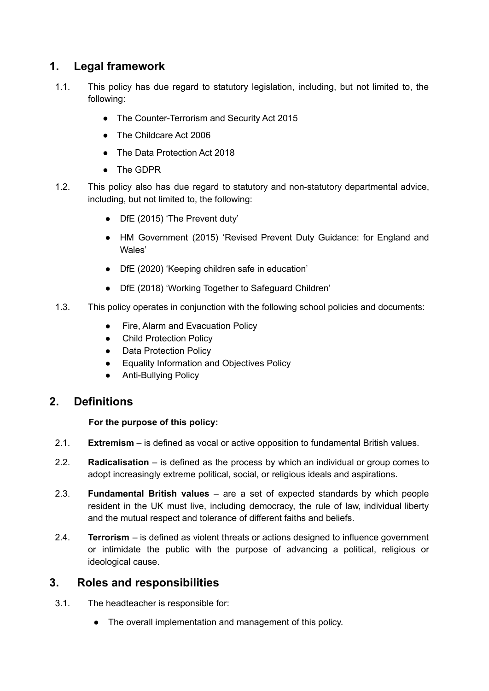# <span id="page-4-0"></span>**1. Legal framework**

- 1.1. This policy has due regard to statutory legislation, including, but not limited to, the following:
	- The Counter-Terrorism and Security Act 2015
	- The Childcare Act 2006
	- The Data Protection Act 2018
	- The GDPR
- 1.2. This policy also has due regard to statutory and non-statutory departmental advice, including, but not limited to, the following:
	- DfE (2015) 'The Prevent duty'
	- HM Government (2015) 'Revised Prevent Duty Guidance: for England and Wales'
	- DfE (2020) 'Keeping children safe in education'
	- DfE (2018) 'Working Together to Safeguard Children'
- 1.3. This policy operates in conjunction with the following school policies and documents:
	- Fire, Alarm and Evacuation Policy
	- Child Protection Policy
	- Data Protection Policy
	- Equality Information and Objectives Policy
	- Anti-Bullving Policy

# <span id="page-4-1"></span>**2. Definitions**

#### **For the purpose of this policy:**

- 2.1. **Extremism** is defined as vocal or active opposition to fundamental British values.
- 2.2. **Radicalisation** is defined as the process by which an individual or group comes to adopt increasingly extreme political, social, or religious ideals and aspirations.
- 2.3. **Fundamental British values** are a set of expected standards by which people resident in the UK must live, including democracy, the rule of law, individual liberty and the mutual respect and tolerance of different faiths and beliefs.
- 2.4. **Terrorism** is defined as violent threats or actions designed to influence government or intimidate the public with the purpose of advancing a political, religious or ideological cause.

# <span id="page-4-2"></span>**3. Roles and responsibilities**

- 3.1. The headteacher is responsible for:
	- The overall implementation and management of this policy.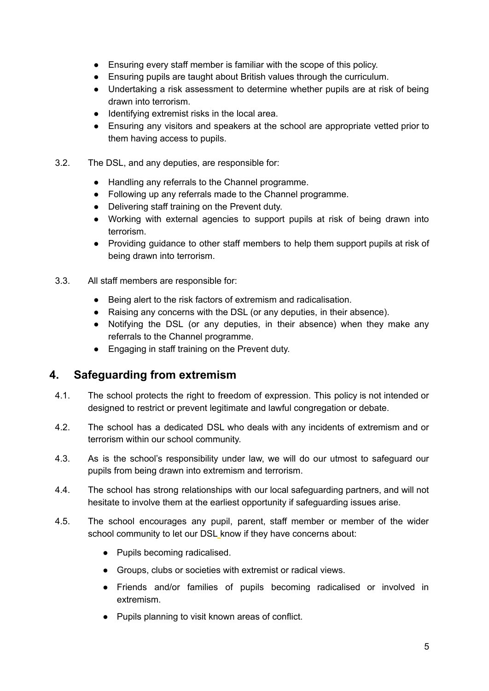- Ensuring every staff member is familiar with the scope of this policy.
- Ensuring pupils are taught about British values through the curriculum.
- Undertaking a risk assessment to determine whether pupils are at risk of being drawn into terrorism.
- Identifying extremist risks in the local area.
- Ensuring any visitors and speakers at the school are appropriate vetted prior to them having access to pupils.
- 3.2. The DSL, and any deputies, are responsible for:
	- Handling any referrals to the Channel programme.
	- Following up any referrals made to the Channel programme.
	- Delivering staff training on the Prevent duty.
	- Working with external agencies to support pupils at risk of being drawn into terrorism.
	- Providing guidance to other staff members to help them support pupils at risk of being drawn into terrorism.
- 3.3. All staff members are responsible for:
	- Being alert to the risk factors of extremism and radicalisation.
	- Raising any concerns with the DSL (or any deputies, in their absence).
	- Notifying the DSL (or any deputies, in their absence) when they make any referrals to the Channel programme.
	- Engaging in staff training on the Prevent duty.

#### <span id="page-5-0"></span>**4. Safeguarding from extremism**

- 4.1. The school protects the right to freedom of expression. This policy is not intended or designed to restrict or prevent legitimate and lawful congregation or debate.
- 4.2. The school has a dedicated DSL who deals with any incidents of extremism and or terrorism within our school community.
- 4.3. As is the school's responsibility under law, we will do our utmost to safeguard our pupils from being drawn into extremism and terrorism.
- 4.4. The school has strong relationships with our local safeguarding partners, and will not hesitate to involve them at the earliest opportunity if safeguarding issues arise.
- 4.5. The school encourages any pupil, parent, staff member or member of the wider school community to let our DSL know if they have concerns about:
	- Pupils becoming radicalised.
	- Groups, clubs or societies with extremist or radical views.
	- Friends and/or families of pupils becoming radicalised or involved in extremism.
	- Pupils planning to visit known areas of conflict.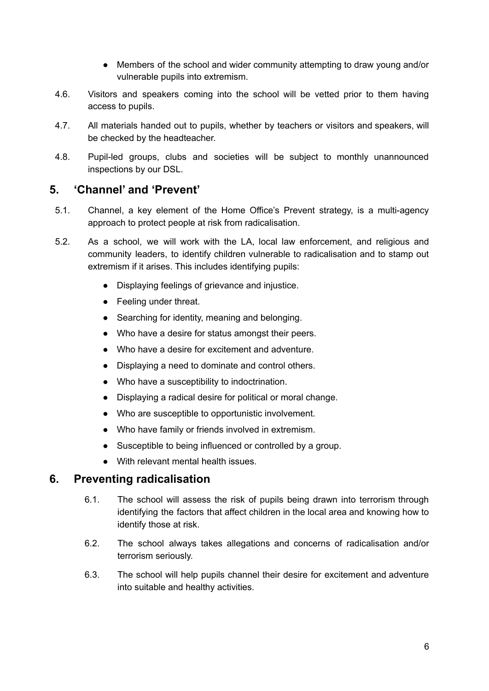- Members of the school and wider community attempting to draw young and/or vulnerable pupils into extremism.
- 4.6. Visitors and speakers coming into the school will be vetted prior to them having access to pupils.
- 4.7. All materials handed out to pupils, whether by teachers or visitors and speakers, will be checked by the headteacher.
- 4.8. Pupil-led groups, clubs and societies will be subject to monthly unannounced inspections by our DSL.

#### <span id="page-6-0"></span>**5. 'Channel' and 'Prevent'**

- 5.1. Channel, a key element of the Home Office's Prevent strategy, is a multi-agency approach to protect people at risk from radicalisation.
- 5.2. As a school, we will work with the LA, local law enforcement, and religious and community leaders, to identify children vulnerable to radicalisation and to stamp out extremism if it arises. This includes identifying pupils:
	- Displaying feelings of grievance and injustice.
	- Feeling under threat.
	- Searching for identity, meaning and belonging.
	- Who have a desire for status amongst their peers.
	- Who have a desire for excitement and adventure.
	- Displaying a need to dominate and control others.
	- Who have a susceptibility to indoctrination.
	- Displaying a radical desire for political or moral change.
	- Who are susceptible to opportunistic involvement.
	- Who have family or friends involved in extremism.
	- Susceptible to being influenced or controlled by a group.
	- With relevant mental health issues.

# <span id="page-6-1"></span>**6. Preventing radicalisation**

- 6.1. The school will assess the risk of pupils being drawn into terrorism through identifying the factors that affect children in the local area and knowing how to identify those at risk.
- 6.2. The school always takes allegations and concerns of radicalisation and/or terrorism seriously.
- 6.3. The school will help pupils channel their desire for excitement and adventure into suitable and healthy activities.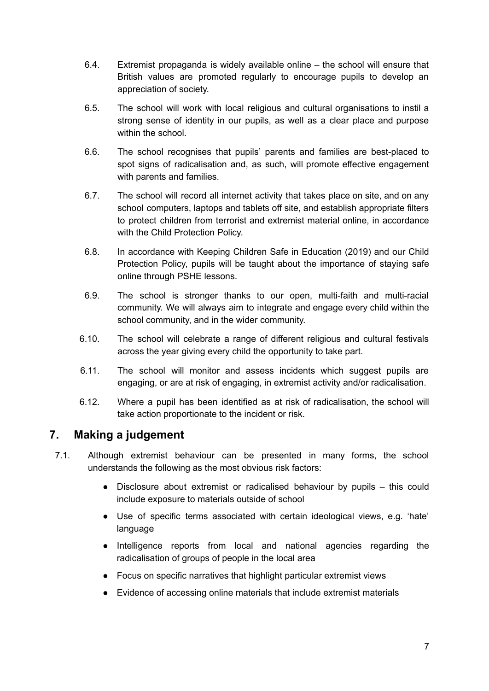- 6.4. Extremist propaganda is widely available online the school will ensure that British values are promoted regularly to encourage pupils to develop an appreciation of society.
- 6.5. The school will work with local religious and cultural organisations to instil a strong sense of identity in our pupils, as well as a clear place and purpose within the school.
- 6.6. The school recognises that pupils' parents and families are best-placed to spot signs of radicalisation and, as such, will promote effective engagement with parents and families.
- 6.7. The school will record all internet activity that takes place on site, and on any school computers, laptops and tablets off site, and establish appropriate filters to protect children from terrorist and extremist material online, in accordance with the Child Protection Policy.
- 6.8. In accordance with Keeping Children Safe in Education (2019) and our Child Protection Policy, pupils will be taught about the importance of staying safe online through PSHE lessons.
- 6.9. The school is stronger thanks to our open, multi-faith and multi-racial community. We will always aim to integrate and engage every child within the school community, and in the wider community.
- 6.10. The school will celebrate a range of different religious and cultural festivals across the year giving every child the opportunity to take part.
- 6.11. The school will monitor and assess incidents which suggest pupils are engaging, or are at risk of engaging, in extremist activity and/or radicalisation.
- 6.12. Where a pupil has been identified as at risk of radicalisation, the school will take action proportionate to the incident or risk.

# <span id="page-7-0"></span>**7. Making a judgement**

- 7.1. Although extremist behaviour can be presented in many forms, the school understands the following as the most obvious risk factors:
	- Disclosure about extremist or radicalised behaviour by pupils this could include exposure to materials outside of school
	- Use of specific terms associated with certain ideological views, e.g. 'hate' language
	- Intelligence reports from local and national agencies regarding the radicalisation of groups of people in the local area
	- Focus on specific narratives that highlight particular extremist views
	- Evidence of accessing online materials that include extremist materials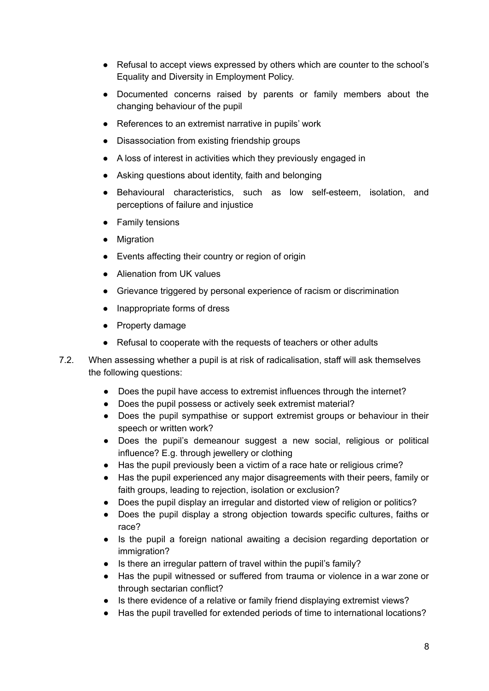- Refusal to accept views expressed by others which are counter to the school's Equality and Diversity in Employment Policy.
- Documented concerns raised by parents or family members about the changing behaviour of the pupil
- References to an extremist narrative in pupils' work
- Disassociation from existing friendship groups
- A loss of interest in activities which they previously engaged in
- Asking questions about identity, faith and belonging
- Behavioural characteristics, such as low self-esteem, isolation, and perceptions of failure and injustice
- Family tensions
- Migration
- Events affecting their country or region of origin
- Alienation from UK values
- Grievance triggered by personal experience of racism or discrimination
- Inappropriate forms of dress
- Property damage
- Refusal to cooperate with the requests of teachers or other adults
- 7.2. When assessing whether a pupil is at risk of radicalisation, staff will ask themselves the following questions:
	- Does the pupil have access to extremist influences through the internet?
	- Does the pupil possess or actively seek extremist material?
	- Does the pupil sympathise or support extremist groups or behaviour in their speech or written work?
	- Does the pupil's demeanour suggest a new social, religious or political influence? E.g. through jewellery or clothing
	- Has the pupil previously been a victim of a race hate or religious crime?
	- Has the pupil experienced any major disagreements with their peers, family or faith groups, leading to rejection, isolation or exclusion?
	- Does the pupil display an irregular and distorted view of religion or politics?
	- Does the pupil display a strong objection towards specific cultures, faiths or race?
	- Is the pupil a foreign national awaiting a decision regarding deportation or immigration?
	- Is there an irregular pattern of travel within the pupil's family?
	- Has the pupil witnessed or suffered from trauma or violence in a war zone or through sectarian conflict?
	- Is there evidence of a relative or family friend displaying extremist views?
	- Has the pupil travelled for extended periods of time to international locations?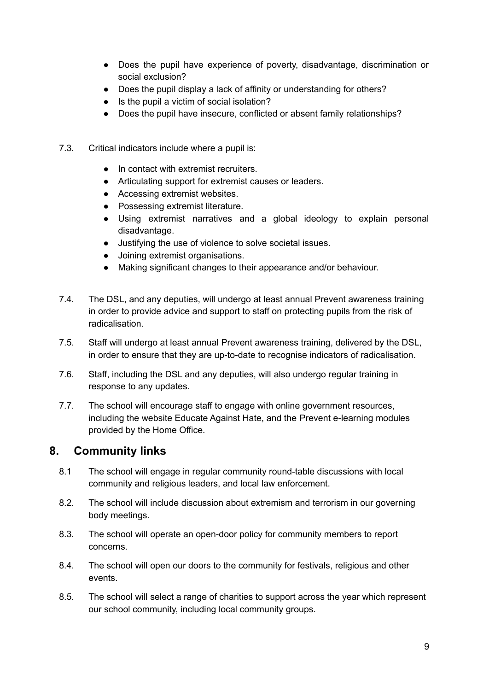- Does the pupil have experience of poverty, disadvantage, discrimination or social exclusion?
- Does the pupil display a lack of affinity or understanding for others?
- Is the pupil a victim of social isolation?
- Does the pupil have insecure, conflicted or absent family relationships?
- 7.3. Critical indicators include where a pupil is:
	- In contact with extremist recruiters
	- Articulating support for extremist causes or leaders.
	- Accessing extremist websites.
	- Possessing extremist literature.
	- Using extremist narratives and a global ideology to explain personal disadvantage.
	- Justifying the use of violence to solve societal issues.
	- Joining extremist organisations.
	- Making significant changes to their appearance and/or behaviour.
- 7.4. The DSL, and any deputies, will undergo at least annual Prevent awareness training in order to provide advice and support to staff on protecting pupils from the risk of radicalisation.
- 7.5. Staff will undergo at least annual Prevent awareness training, delivered by the DSL, in order to ensure that they are up-to-date to recognise indicators of radicalisation.
- 7.6. Staff, including the DSL and any deputies, will also undergo regular training in response to any updates.
- 7.7. The school will encourage staff to engage with online government resources, including the website Educate Against Hate, and the Prevent e-learning modules provided by the Home Office.

# <span id="page-9-0"></span>**8. Community links**

- 8.1 The school will engage in regular community round-table discussions with local community and religious leaders, and local law enforcement.
- 8.2. The school will include discussion about extremism and terrorism in our governing body meetings.
- 8.3. The school will operate an open-door policy for community members to report concerns.
- 8.4. The school will open our doors to the community for festivals, religious and other events.
- 8.5. The school will select a range of charities to support across the year which represent our school community, including local community groups.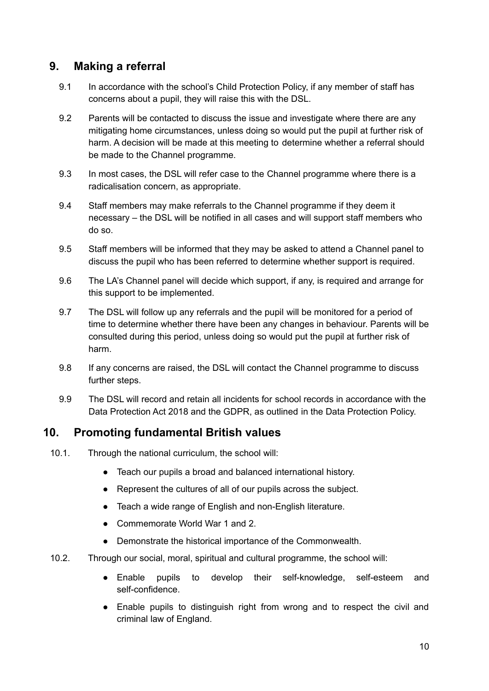#### <span id="page-10-0"></span>**9. Making a referral**

- 9.1 In accordance with the school's Child Protection Policy, if any member of staff has concerns about a pupil, they will raise this with the DSL.
- 9.2 Parents will be contacted to discuss the issue and investigate where there are any mitigating home circumstances, unless doing so would put the pupil at further risk of harm. A decision will be made at this meeting to determine whether a referral should be made to the Channel programme.
- 9.3 In most cases, the DSL will refer case to the Channel programme where there is a radicalisation concern, as appropriate.
- 9.4 Staff members may make referrals to the Channel programme if they deem it necessary – the DSL will be notified in all cases and will support staff members who do so.
- 9.5 Staff members will be informed that they may be asked to attend a Channel panel to discuss the pupil who has been referred to determine whether support is required.
- 9.6 The LA's Channel panel will decide which support, if any, is required and arrange for this support to be implemented.
- 9.7 The DSL will follow up any referrals and the pupil will be monitored for a period of time to determine whether there have been any changes in behaviour. Parents will be consulted during this period, unless doing so would put the pupil at further risk of harm.
- 9.8 If any concerns are raised, the DSL will contact the Channel programme to discuss further steps.
- 9.9 The DSL will record and retain all incidents for school records in accordance with the Data Protection Act 2018 and the GDPR, as outlined in the Data Protection Policy.

# <span id="page-10-1"></span>**10. Promoting fundamental British values**

- 10.1. Through the national curriculum, the school will:
	- Teach our pupils a broad and balanced international history.
	- Represent the cultures of all of our pupils across the subject.
	- Teach a wide range of English and non-English literature.
	- Commemorate World War 1 and 2.
	- Demonstrate the historical importance of the Commonwealth.
- 10.2. Through our social, moral, spiritual and cultural programme, the school will:
	- Enable pupils to develop their self-knowledge, self-esteem and self-confidence.
	- Enable pupils to distinguish right from wrong and to respect the civil and criminal law of England.